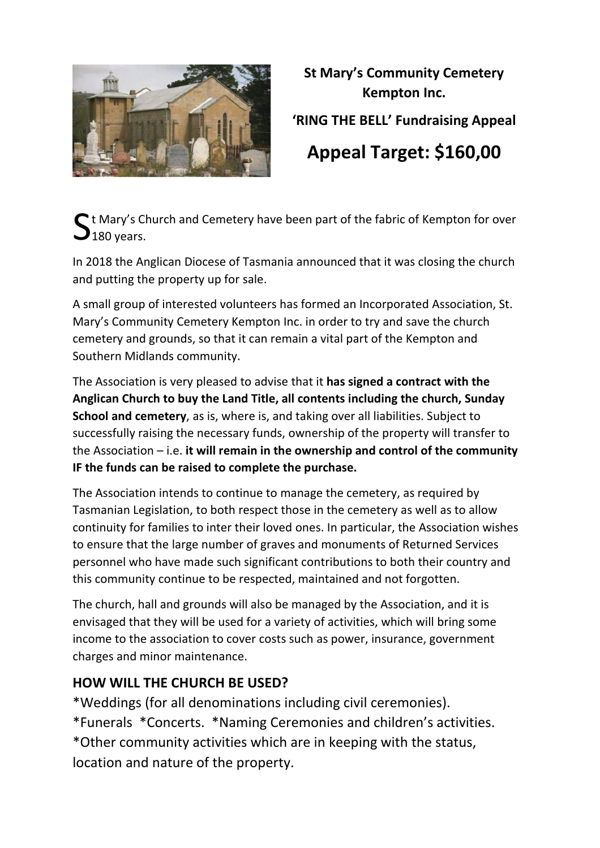

# **St Mary's Community Cemetery Kempton Inc. 'RING THE BELL' Fundraising Appeal Appeal Target: \$160,00**

 $\mathbf{S}$ t Mary's Church and Cemetery have been part of the fabric of Kempton for over<br> $\mathbf{S}_{180}$  years.  $\blacktriangleright$  180 years.

In 2018 the Anglican Diocese of Tasmania announced that it was closing the church and putting the property up for sale.

A small group of interested volunteers has formed an Incorporated Association, St. Mary's Community Cemetery Kempton Inc. in order to try and save the church cemetery and grounds, so that it can remain a vital part of the Kempton and Southern Midlands community.

The Association is very pleased to advise that it **has signed a contract with the Anglican Church to buy the Land Title, all contents including the church, Sunday School and cemetery**, as is, where is, and taking over all liabilities. Subject to successfully raising the necessary funds, ownership of the property will transfer to the Association – i.e. **it will remain in the ownership and control of the community IF the funds can be raised to complete the purchase.**

The Association intends to continue to manage the cemetery, as required by Tasmanian Legislation, to both respect those in the cemetery as well as to allow continuity for families to inter their loved ones. In particular, the Association wishes to ensure that the large number of graves and monuments of Returned Services personnel who have made such significant contributions to both their country and this community continue to be respected, maintained and not forgotten.

The church, hall and grounds will also be managed by the Association, and it is envisaged that they will be used for a variety of activities, which will bring some income to the association to cover costs such as power, insurance, government charges and minor maintenance.

## **HOW WILL THE CHURCH BE USED?**

\*Weddings (for all denominations including civil ceremonies). \*Funerals \*Concerts. \*Naming Ceremonies and children's activities. \*Other community activities which are in keeping with the status, location and nature of the property.